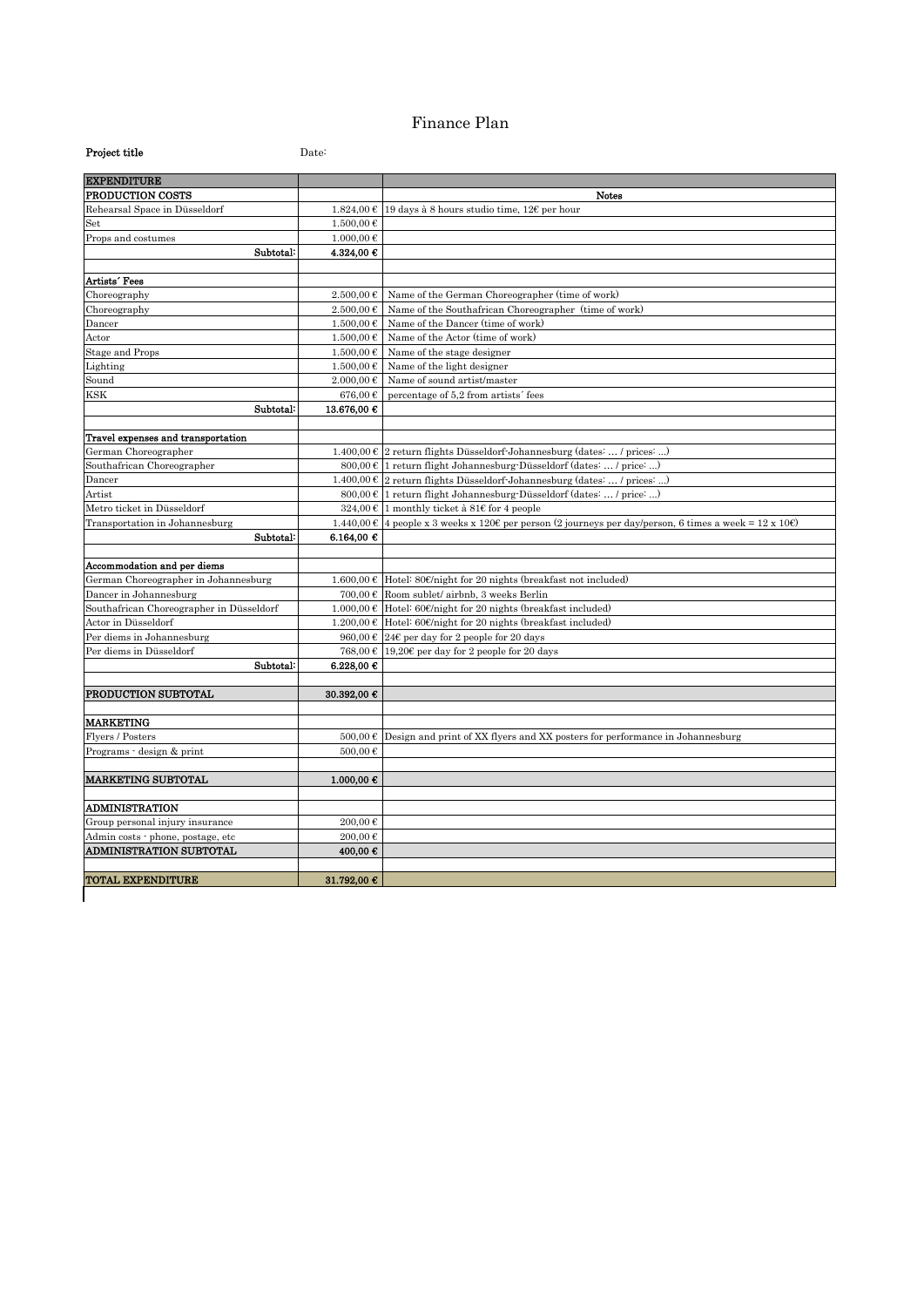## Finance Plan

| Project title                            | Date:                  |                                                                                                                         |  |
|------------------------------------------|------------------------|-------------------------------------------------------------------------------------------------------------------------|--|
| <b>EXPENDITURE</b>                       |                        |                                                                                                                         |  |
| PRODUCTION COSTS                         |                        | <b>Notes</b>                                                                                                            |  |
| Rehearsal Space in Düsseldorf            |                        | 1.824,00 € 19 days à 8 hours studio time, 12€ per hour                                                                  |  |
| $_{\rm Set}$                             | 1.500,00€              |                                                                                                                         |  |
| Props and costumes                       | $1.000,00 \notin$      |                                                                                                                         |  |
| Subtotal:                                | 4.324,00 €             |                                                                                                                         |  |
|                                          |                        |                                                                                                                         |  |
| Artists' Fees                            |                        |                                                                                                                         |  |
| Choreography                             | 2.500,00€              | Name of the German Choreographer (time of work)                                                                         |  |
| Choreography                             | $2.500.00 \in$         | Name of the Southafrican Choreographer (time of work)                                                                   |  |
| Dancer                                   | $1.500,00$ €           | Name of the Dancer (time of work)                                                                                       |  |
| Actor                                    | 1.500,00€              | Name of the Actor (time of work)                                                                                        |  |
| <b>Stage and Props</b>                   | $1.500,00 \in$         | Name of the stage designer                                                                                              |  |
| Lighting                                 | $1.500,00$ €           | Name of the light designer                                                                                              |  |
| Sound                                    | $2.000,00 \notin$      | Name of sound artist/master                                                                                             |  |
| KSK<br>Subtotal:                         | 676,00€<br>13.676,00 € | percentage of 5.2 from artists' fees                                                                                    |  |
|                                          |                        |                                                                                                                         |  |
| Travel expenses and transportation       |                        |                                                                                                                         |  |
| German Choreographer                     |                        | $1.400,00 \in 2$ return flights Düsseldorf-Johannesburg (dates:  / prices: )                                            |  |
| Southafrican Choreographer               |                        | $800,00 \in$ 1 return flight Johannesburg-Düsseldorf (dates:  / price: )                                                |  |
| Dancer                                   |                        | $1.400,00 \in \mathbb{Z}$ return flights Düsseldorf-Johannesburg (dates:  / prices: )                                   |  |
| Artist                                   |                        | $800,00 \in$ 1 return flight Johannesburg-Düsseldorf (dates:  / price: )                                                |  |
| Metro ticket in Düsseldorf               |                        | 324,00 € 1 monthly ticket à 81€ for 4 people                                                                            |  |
| Transportation in Johannesburg           |                        | $1.440,00 \text{ }\epsilon$ 4 people x 3 weeks x 120€ per person (2 journeys per day/person, 6 times a week = 12 x 10€) |  |
| Subtotal:                                | 6.164,00 €             |                                                                                                                         |  |
|                                          |                        |                                                                                                                         |  |
| Accommodation and per diems              |                        |                                                                                                                         |  |
| German Choreographer in Johannesburg     |                        | $1.600,00 \in$ Hotel: 80€/night for 20 nights (breakfast not included)                                                  |  |
| Dancer in Johannesburg                   | 700,00€                | Room sublet/ airbnb, 3 weeks Berlin                                                                                     |  |
| Southafrican Choreographer in Düsseldorf |                        | $1.000,00 \in$ Hotel: 60€/night for 20 nights (breakfast included)                                                      |  |
| Actor in Düsseldorf                      |                        | 1.200,00 € Hotel: 60€/night for 20 nights (breakfast included)                                                          |  |
| Per diems in Johannesburg                |                        | 960,00 € 24€ per day for 2 people for 20 days                                                                           |  |
| Per diems in Düsseldorf                  |                        | 768,00 € 19,20€ per day for 2 people for 20 days                                                                        |  |
| Subtotal:                                | 6.228,00 €             |                                                                                                                         |  |
|                                          |                        |                                                                                                                         |  |
| PRODUCTION SUBTOTAL                      | 30.392,00 €            |                                                                                                                         |  |
|                                          |                        |                                                                                                                         |  |
| <b>MARKETING</b>                         |                        |                                                                                                                         |  |
| Flyers / Posters                         | 500,00€                | Design and print of XX flyers and XX posters for performance in Johannesburg                                            |  |
| Programs - design & print                | 500.00€                |                                                                                                                         |  |
| <b>MARKETING SUBTOTAL</b>                |                        |                                                                                                                         |  |
|                                          | 1.000,00 €             |                                                                                                                         |  |
| <b>ADMINISTRATION</b>                    |                        |                                                                                                                         |  |
| Group personal injury insurance          | 200,00€                |                                                                                                                         |  |
| Admin costs · phone, postage, etc        | 200,00€                |                                                                                                                         |  |
| <b>ADMINISTRATION SUBTOTAL</b>           | 400,00€                |                                                                                                                         |  |
|                                          |                        |                                                                                                                         |  |
| <b>TOTAL EXPENDITURE</b>                 | 31.792,00 €            |                                                                                                                         |  |